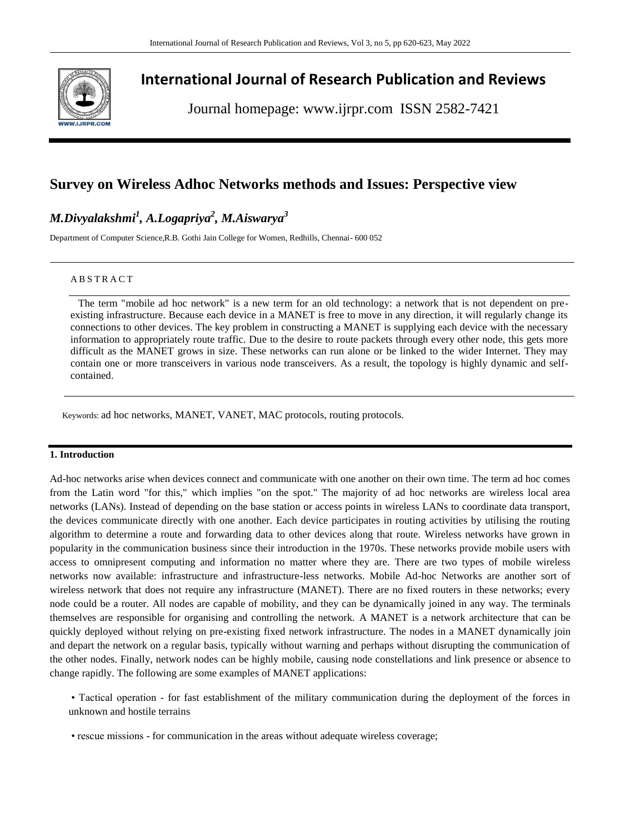

# **International Journal of Research Publication and Reviews**

Journal homepage: www.ijrpr.com ISSN 2582-7421

## **Survey on Wireless Adhoc Networks methods and Issues: Perspective view**

## *M.Divyalakshmi<sup>1</sup> , A.Logapriya<sup>2</sup> , M.Aiswarya<sup>3</sup>*

Department of Computer Science,R.B. Gothi Jain College for Women, Redhills, Chennai- 600 052

#### A B S T R A C T

 The term "mobile ad hoc network" is a new term for an old technology: a network that is not dependent on preexisting infrastructure. Because each device in a MANET is free to move in any direction, it will regularly change its connections to other devices. The key problem in constructing a MANET is supplying each device with the necessary information to appropriately route traffic. Due to the desire to route packets through every other node, this gets more difficult as the MANET grows in size. These networks can run alone or be linked to the wider Internet. They may contain one or more transceivers in various node transceivers. As a result, the topology is highly dynamic and selfcontained.

Keywords: ad hoc networks, MANET, VANET, MAC protocols, routing protocols.

### **1. Introduction**

Ad-hoc networks arise when devices connect and communicate with one another on their own time. The term ad hoc comes from the Latin word "for this," which implies "on the spot." The majority of ad hoc networks are wireless local area networks (LANs). Instead of depending on the base station or access points in wireless LANs to coordinate data transport, the devices communicate directly with one another. Each device participates in routing activities by utilising the routing algorithm to determine a route and forwarding data to other devices along that route. Wireless networks have grown in popularity in the communication business since their introduction in the 1970s. These networks provide mobile users with access to omnipresent computing and information no matter where they are. There are two types of mobile wireless networks now available: infrastructure and infrastructure-less networks. Mobile Ad-hoc Networks are another sort of wireless network that does not require any infrastructure (MANET). There are no fixed routers in these networks; every node could be a router. All nodes are capable of mobility, and they can be dynamically joined in any way. The terminals themselves are responsible for organising and controlling the network. A MANET is a network architecture that can be quickly deployed without relying on pre-existing fixed network infrastructure. The nodes in a MANET dynamically join and depart the network on a regular basis, typically without warning and perhaps without disrupting the communication of the other nodes. Finally, network nodes can be highly mobile, causing node constellations and link presence or absence to change rapidly. The following are some examples of MANET applications:

• Tactical operation - for fast establishment of the military communication during the deployment of the forces in unknown and hostile terrains

• rescue missions - for communication in the areas without adequate wireless coverage;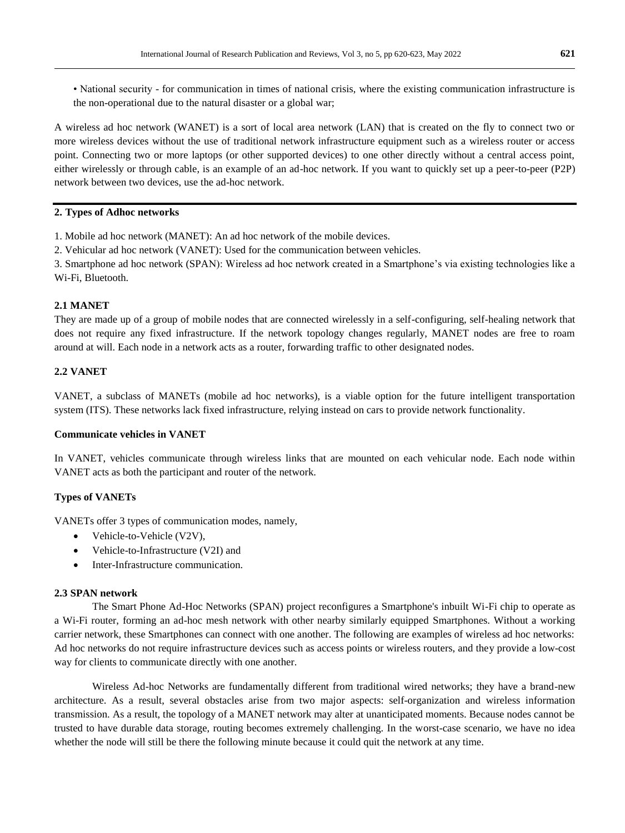A wireless ad hoc network (WANET) is a sort of local area network (LAN) that is created on the fly to connect two or more wireless devices without the use of traditional network infrastructure equipment such as a wireless router or access point. Connecting two or more laptops (or other supported devices) to one other directly without a central access point, either wirelessly or through cable, is an example of an ad-hoc network. If you want to quickly set up a peer-to-peer (P2P) network between two devices, use the ad-hoc network.

## **2. Types of Adhoc networks**

1. Mobile ad hoc network (MANET): An ad hoc network of the mobile devices.

2. Vehicular ad hoc network (VANET): Used for the communication between vehicles.

3. Smartphone ad hoc network (SPAN): Wireless ad hoc network created in a Smartphone's via existing technologies like a Wi-Fi, Bluetooth.

## **2.1 MANET**

They are made up of a group of mobile nodes that are connected wirelessly in a self-configuring, self-healing network that does not require any fixed infrastructure. If the network topology changes regularly, MANET nodes are free to roam around at will. Each node in a network acts as a router, forwarding traffic to other designated nodes.

## **2.2 VANET**

VANET, a subclass of MANETs (mobile ad hoc networks), is a viable option for the future intelligent transportation system (ITS). These networks lack fixed infrastructure, relying instead on cars to provide network functionality.

#### **Communicate vehicles in VANET**

In VANET, vehicles communicate through wireless links that are mounted on each vehicular node. Each node within VANET acts as both the participant and router of the network.

## **Types of VANETs**

VANETs offer 3 types of communication modes, namely,

- Vehicle-to-Vehicle (V2V),
- Vehicle-to-Infrastructure (V2I) and
- Inter-Infrastructure communication.

#### **2.3 SPAN network**

The Smart Phone Ad-Hoc Networks (SPAN) project reconfigures a Smartphone's inbuilt Wi-Fi chip to operate as a Wi-Fi router, forming an ad-hoc mesh network with other nearby similarly equipped Smartphones. Without a working carrier network, these Smartphones can connect with one another. The following are examples of wireless ad hoc networks: Ad hoc networks do not require infrastructure devices such as access points or wireless routers, and they provide a low-cost way for clients to communicate directly with one another.

Wireless Ad-hoc Networks are fundamentally different from traditional wired networks; they have a brand-new architecture. As a result, several obstacles arise from two major aspects: self-organization and wireless information transmission. As a result, the topology of a MANET network may alter at unanticipated moments. Because nodes cannot be trusted to have durable data storage, routing becomes extremely challenging. In the worst-case scenario, we have no idea whether the node will still be there the following minute because it could quit the network at any time.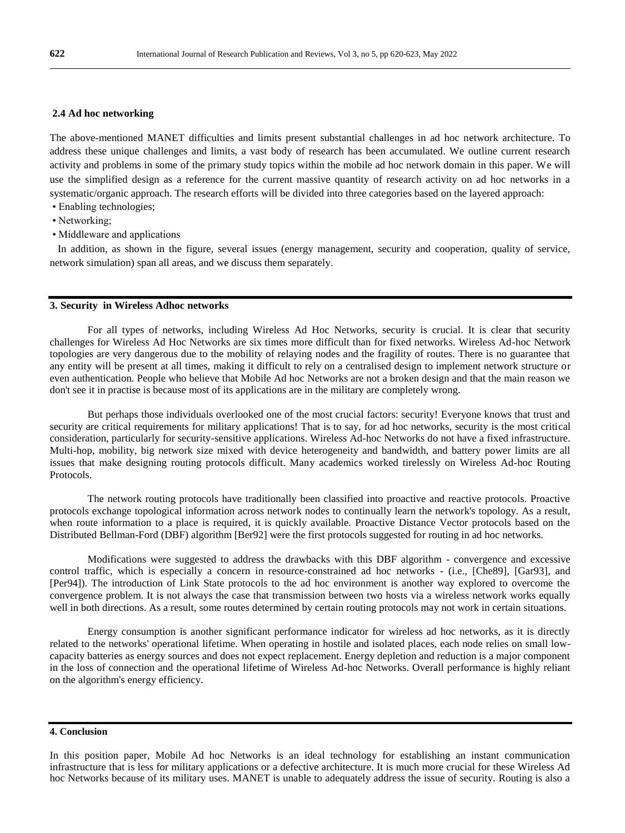#### **2.4 Ad hoc networking**

The above-mentioned MANET difficulties and limits present substantial challenges in ad hoc network architecture. To address these unique challenges and limits, a vast body of research has been accumulated. We outline current research activity and problems in some of the primary study topics within the mobile ad hoc network domain in this paper. We will use the simplified design as a reference for the current massive quantity of research activity on ad hoc networks in a systematic/organic approach. The research efforts will be divided into three categories based on the layered approach:

- Enabling technologies;
- Networking;
- Middleware and applications

 In addition, as shown in the figure, several issues (energy management, security and cooperation, quality of service, network simulation) span all areas, and we discuss them separately.

#### **3. Security in Wireless Adhoc networks**

For all types of networks, including Wireless Ad Hoc Networks, security is crucial. It is clear that security challenges for Wireless Ad Hoc Networks are six times more difficult than for fixed networks. Wireless Ad-hoc Network topologies are very dangerous due to the mobility of relaying nodes and the fragility of routes. There is no guarantee that any entity will be present at all times, making it difficult to rely on a centralised design to implement network structure or even authentication. People who believe that Mobile Ad hoc Networks are not a broken design and that the main reason we don't see it in practise is because most of its applications are in the military are completely wrong.

But perhaps those individuals overlooked one of the most crucial factors: security! Everyone knows that trust and security are critical requirements for military applications! That is to say, for ad hoc networks, security is the most critical consideration, particularly for security-sensitive applications. Wireless Ad-hoc Networks do not have a fixed infrastructure. Multi-hop, mobility, big network size mixed with device heterogeneity and bandwidth, and battery power limits are all issues that make designing routing protocols difficult. Many academics worked tirelessly on Wireless Ad-hoc Routing Protocols.

The network routing protocols have traditionally been classified into proactive and reactive protocols. Proactive protocols exchange topological information across network nodes to continually learn the network's topology. As a result, when route information to a place is required, it is quickly available. Proactive Distance Vector protocols based on the Distributed Bellman-Ford (DBF) algorithm [Ber92] were the first protocols suggested for routing in ad hoc networks.

Modifications were suggested to address the drawbacks with this DBF algorithm - convergence and excessive control traffic, which is especially a concern in resource-constrained ad hoc networks - (i.e., [Che89], [Gar93], and [Per94]). The introduction of Link State protocols to the ad hoc environment is another way explored to overcome the convergence problem. It is not always the case that transmission between two hosts via a wireless network works equally well in both directions. As a result, some routes determined by certain routing protocols may not work in certain situations.

Energy consumption is another significant performance indicator for wireless ad hoc networks, as it is directly related to the networks' operational lifetime. When operating in hostile and isolated places, each node relies on small lowcapacity batteries as energy sources and does not expect replacement. Energy depletion and reduction is a major component in the loss of connection and the operational lifetime of Wireless Ad-hoc Networks. Overall performance is highly reliant on the algorithm's energy efficiency.

#### **4. Conclusion**

In this position paper, Mobile Ad hoc Networks is an ideal technology for establishing an instant communication infrastructure that is less for military applications or a defective architecture. It is much more crucial for these Wireless Ad hoc Networks because of its military uses. MANET is unable to adequately address the issue of security. Routing is also a